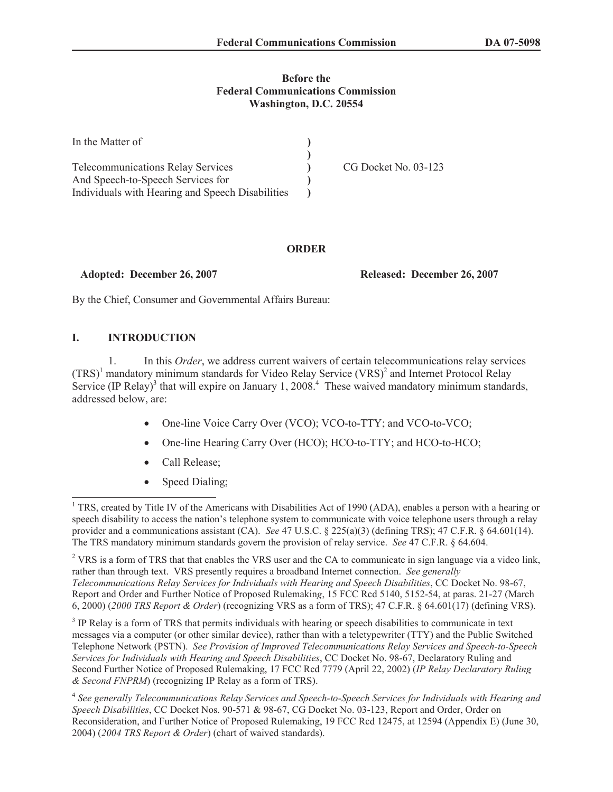### **Before the Federal Communications Commission Washington, D.C. 20554**

| In the Matter of                                 |                      |
|--------------------------------------------------|----------------------|
|                                                  |                      |
| <b>Telecommunications Relay Services</b>         | CG Docket No. 03-123 |
| And Speech-to-Speech Services for                |                      |
| Individuals with Hearing and Speech Disabilities |                      |

## **ORDER**

**Adopted: December 26, 2007 Released: December 26, 2007**

By the Chief, Consumer and Governmental Affairs Bureau:

## **I. INTRODUCTION**

1. In this *Order*, we address current waivers of certain telecommunications relay services  $(TRS)^1$  mandatory minimum standards for Video Relay Service  $(VRS)^2$  and Internet Protocol Relay Service (IP Relay)<sup>3</sup> that will expire on January 1, 2008.<sup>4</sup> These waived mandatory minimum standards, addressed below, are:

- · One-line Voice Carry Over (VCO); VCO-to-TTY; and VCO-to-VCO;
- · One-line Hearing Carry Over (HCO); HCO-to-TTY; and HCO-to-HCO;
- Call Release;
- Speed Dialing;

<sup>&</sup>lt;sup>1</sup> TRS, created by Title IV of the Americans with Disabilities Act of 1990 (ADA), enables a person with a hearing or speech disability to access the nation's telephone system to communicate with voice telephone users through a relay provider and a communications assistant (CA). *See* 47 U.S.C. § 225(a)(3) (defining TRS); 47 C.F.R. § 64.601(14). The TRS mandatory minimum standards govern the provision of relay service. *See* 47 C.F.R. § 64.604.

<sup>&</sup>lt;sup>2</sup> VRS is a form of TRS that that enables the VRS user and the CA to communicate in sign language via a video link, rather than through text. VRS presently requires a broadband Internet connection. *See generally Telecommunications Relay Services for Individuals with Hearing and Speech Disabilities*, CC Docket No. 98-67, Report and Order and Further Notice of Proposed Rulemakin*g*, 15 FCC Rcd 5140, 5152-54, at paras. 21-27 (March 6, 2000) (*2000 TRS Report & Order*) (recognizing VRS as a form of TRS); 47 C.F.R. § 64.601(17) (defining VRS).

<sup>&</sup>lt;sup>3</sup> IP Relay is a form of TRS that permits individuals with hearing or speech disabilities to communicate in text messages via a computer (or other similar device), rather than with a teletypewriter (TTY) and the Public Switched Telephone Network (PSTN). *See Provision of Improved Telecommunications Relay Services and Speech-to-Speech Services for Individuals with Hearing and Speech Disabilities*, CC Docket No. 98-67, Declaratory Ruling and Second Further Notice of Proposed Rulemaking, 17 FCC Rcd 7779 (April 22, 2002) (*IP Relay Declaratory Ruling & Second FNPRM*) (recognizing IP Relay as a form of TRS).

<sup>4</sup> *See generally Telecommunications Relay Services and Speech-to-Speech Services for Individuals with Hearing and Speech Disabilities*, CC Docket Nos. 90-571 & 98-67, CG Docket No. 03-123, Report and Order, Order on Reconsideration, and Further Notice of Proposed Rulemaking, 19 FCC Rcd 12475, at 12594 (Appendix E) (June 30, 2004) (*2004 TRS Report & Order*) (chart of waived standards).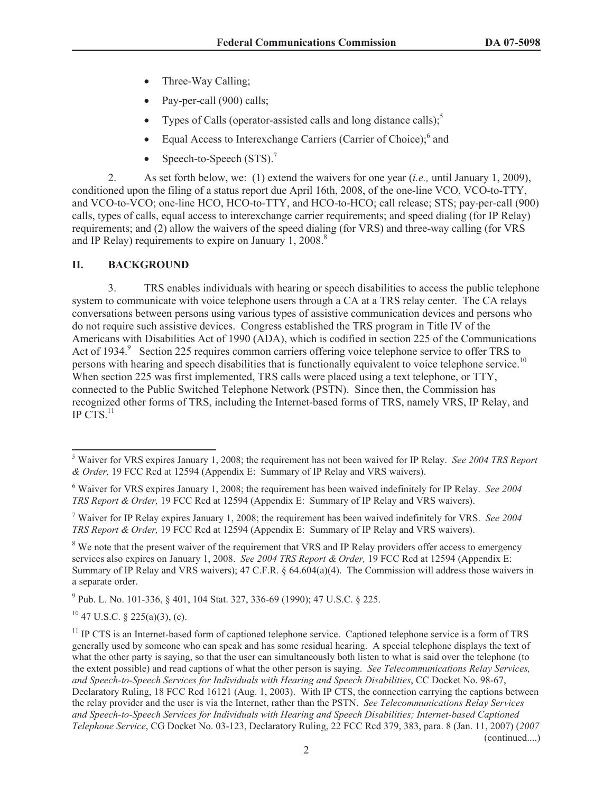- Three-Way Calling;
- Pay-per-call (900) calls;
- Types of Calls (operator-assisted calls and long distance calls);
- Equal Access to Interexchange Carriers (Carrier of Choice);<sup>6</sup> and
- Speech-to-Speech  $(STS)$ .<sup>7</sup>

2. As set forth below, we: (1) extend the waivers for one year (*i.e.,* until January 1, 2009), conditioned upon the filing of a status report due April 16th, 2008, of the one-line VCO, VCO-to-TTY, and VCO-to-VCO; one-line HCO, HCO-to-TTY, and HCO-to-HCO; call release; STS; pay-per-call (900) calls, types of calls, equal access to interexchange carrier requirements; and speed dialing (for IP Relay) requirements; and (2) allow the waivers of the speed dialing (for VRS) and three-way calling (for VRS and IP Relay) requirements to expire on January 1, 2008.<sup>8</sup>

# **II. BACKGROUND**

3. TRS enables individuals with hearing or speech disabilities to access the public telephone system to communicate with voice telephone users through a CA at a TRS relay center. The CA relays conversations between persons using various types of assistive communication devices and persons who do not require such assistive devices. Congress established the TRS program in Title IV of the Americans with Disabilities Act of 1990 (ADA), which is codified in section 225 of the Communications Act of 1934.<sup>9</sup> Section 225 requires common carriers offering voice telephone service to offer TRS to persons with hearing and speech disabilities that is functionally equivalent to voice telephone service.<sup>10</sup> When section 225 was first implemented, TRS calls were placed using a text telephone, or TTY, connected to the Public Switched Telephone Network (PSTN). Since then, the Commission has recognized other forms of TRS, including the Internet-based forms of TRS, namely VRS, IP Relay, and IP CTS. $^{11}$ 

<sup>7</sup> Waiver for IP Relay expires January 1, 2008; the requirement has been waived indefinitely for VRS. *See 2004 TRS Report & Order,* 19 FCC Rcd at 12594 (Appendix E: Summary of IP Relay and VRS waivers).

<sup>8</sup> We note that the present waiver of the requirement that VRS and IP Relay providers offer access to emergency services also expires on January 1, 2008. *See 2004 TRS Report & Order,* 19 FCC Rcd at 12594 (Appendix E: Summary of IP Relay and VRS waivers); 47 C.F.R. § 64.604(a)(4). The Commission will address those waivers in a separate order.

<sup>9</sup> Pub. L. No. 101-336, § 401, 104 Stat. 327, 336-69 (1990); 47 U.S.C. § 225.

 $10$  47 U.S.C. § 225(a)(3), (c).

<sup>5</sup> Waiver for VRS expires January 1, 2008; the requirement has not been waived for IP Relay. *See 2004 TRS Report & Order,* 19 FCC Rcd at 12594 (Appendix E: Summary of IP Relay and VRS waivers).

<sup>6</sup> Waiver for VRS expires January 1, 2008; the requirement has been waived indefinitely for IP Relay. *See 2004 TRS Report & Order,* 19 FCC Rcd at 12594 (Appendix E: Summary of IP Relay and VRS waivers).

 $11$  IP CTS is an Internet-based form of captioned telephone service. Captioned telephone service is a form of TRS generally used by someone who can speak and has some residual hearing. A special telephone displays the text of what the other party is saying, so that the user can simultaneously both listen to what is said over the telephone (to the extent possible) and read captions of what the other person is saying. *See Telecommunications Relay Services, and Speech-to-Speech Services for Individuals with Hearing and Speech Disabilities*, CC Docket No. 98-67, Declaratory Ruling, 18 FCC Rcd 16121 (Aug. 1, 2003). With IP CTS, the connection carrying the captions between the relay provider and the user is via the Internet, rather than the PSTN. *See Telecommunications Relay Services and Speech-to-Speech Services for Individuals with Hearing and Speech Disabilities; Internet-based Captioned Telephone Service*, CG Docket No. 03-123, Declaratory Ruling, 22 FCC Rcd 379, 383, para. 8 (Jan. 11, 2007) (*2007*  (continued....)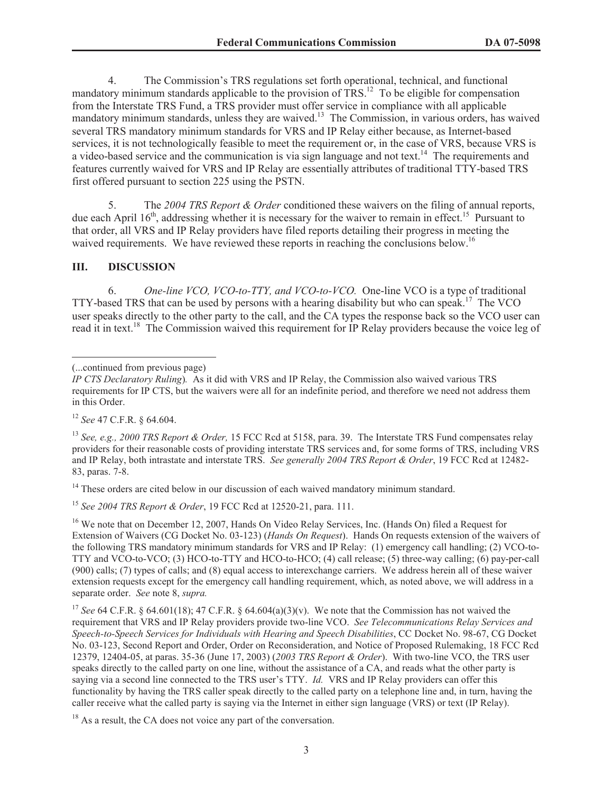4. The Commission's TRS regulations set forth operational, technical, and functional mandatory minimum standards applicable to the provision of TRS.<sup>12</sup> To be eligible for compensation from the Interstate TRS Fund, a TRS provider must offer service in compliance with all applicable mandatory minimum standards, unless they are waived.<sup>13</sup> The Commission, in various orders, has waived several TRS mandatory minimum standards for VRS and IP Relay either because, as Internet-based services, it is not technologically feasible to meet the requirement or, in the case of VRS, because VRS is a video-based service and the communication is via sign language and not text.<sup>14</sup> The requirements and features currently waived for VRS and IP Relay are essentially attributes of traditional TTY-based TRS first offered pursuant to section 225 using the PSTN.

5. The *2004 TRS Report & Order* conditioned these waivers on the filing of annual reports, due each April  $16<sup>th</sup>$ , addressing whether it is necessary for the waiver to remain in effect.<sup>15</sup> Pursuant to that order, all VRS and IP Relay providers have filed reports detailing their progress in meeting the waived requirements. We have reviewed these reports in reaching the conclusions below.<sup>16</sup>

### **III. DISCUSSION**

6. *One-line VCO, VCO-to-TTY, and VCO-to-VCO.* One-line VCO is a type of traditional TTY-based TRS that can be used by persons with a hearing disability but who can speak.<sup>17</sup> The VCO user speaks directly to the other party to the call, and the CA types the response back so the VCO user can read it in text.<sup>18</sup> The Commission waived this requirement for IP Relay providers because the voice leg of

<sup>12</sup> *See* 47 C.F.R. § 64.604.

<sup>13</sup> *See, e.g., 2000 TRS Report & Order,* 15 FCC Rcd at 5158, para. 39. The Interstate TRS Fund compensates relay providers for their reasonable costs of providing interstate TRS services and, for some forms of TRS, including VRS and IP Relay, both intrastate and interstate TRS. *See generally 2004 TRS Report & Order*, 19 FCC Rcd at 12482- 83, paras. 7-8.

<sup>14</sup> These orders are cited below in our discussion of each waived mandatory minimum standard.

<sup>15</sup> *See 2004 TRS Report & Order*, 19 FCC Rcd at 12520-21, para. 111.

<sup>16</sup> We note that on December 12, 2007, Hands On Video Relay Services, Inc. (Hands On) filed a Request for Extension of Waivers (CG Docket No. 03-123) (*Hands On Request*). Hands On requests extension of the waivers of the following TRS mandatory minimum standards for VRS and IP Relay: (1) emergency call handling; (2) VCO-to-TTY and VCO-to-VCO; (3) HCO-to-TTY and HCO-to-HCO; (4) call release; (5) three-way calling; (6) pay-per-call (900) calls; (7) types of calls; and (8) equal access to interexchange carriers. We address herein all of these waiver extension requests except for the emergency call handling requirement, which, as noted above, we will address in a separate order. *See* note 8, *supra.*

<sup>17</sup> *See* 64 C.F.R. § 64.601(18); 47 C.F.R. § 64.604(a)(3)(v). We note that the Commission has not waived the requirement that VRS and IP Relay providers provide two-line VCO. *See Telecommunications Relay Services and Speech-to-Speech Services for Individuals with Hearing and Speech Disabilities*, CC Docket No. 98-67, CG Docket No. 03-123, Second Report and Order, Order on Reconsideration, and Notice of Proposed Rulemaking, 18 FCC Rcd 12379, 12404-05, at paras. 35-36 (June 17, 2003) (*2003 TRS Report & Order*). With two-line VCO, the TRS user speaks directly to the called party on one line, without the assistance of a CA, and reads what the other party is saying via a second line connected to the TRS user's TTY. *Id.* VRS and IP Relay providers can offer this functionality by having the TRS caller speak directly to the called party on a telephone line and, in turn, having the caller receive what the called party is saying via the Internet in either sign language (VRS) or text (IP Relay).

<sup>18</sup> As a result, the CA does not voice any part of the conversation.

<sup>(...</sup>continued from previous page)

*IP CTS Declaratory Ruling*)*.* As it did with VRS and IP Relay, the Commission also waived various TRS requirements for IP CTS, but the waivers were all for an indefinite period, and therefore we need not address them in this Order.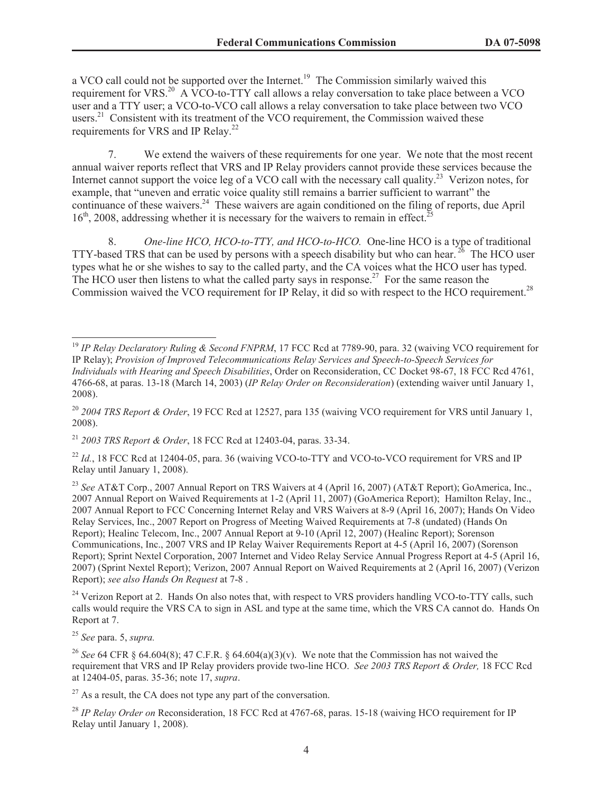a VCO call could not be supported over the Internet.<sup>19</sup> The Commission similarly waived this requirement for VRS.<sup>20</sup> A VCO-to-TTY call allows a relay conversation to take place between a VCO user and a TTY user; a VCO-to-VCO call allows a relay conversation to take place between two VCO users. $21$  Consistent with its treatment of the VCO requirement, the Commission waived these requirements for VRS and IP Relay.<sup>22</sup>

7. We extend the waivers of these requirements for one year. We note that the most recent annual waiver reports reflect that VRS and IP Relay providers cannot provide these services because the Internet cannot support the voice leg of a VCO call with the necessary call quality.<sup>23</sup> Verizon notes, for example, that "uneven and erratic voice quality still remains a barrier sufficient to warrant" the continuance of these waivers.<sup>24</sup> These waivers are again conditioned on the filing of reports, due April  $16<sup>th</sup>$ , 2008, addressing whether it is necessary for the waivers to remain in effect.<sup>25</sup>

8. *One-line HCO, HCO-to-TTY, and HCO-to-HCO.* One-line HCO is a type of traditional TTY-based TRS that can be used by persons with a speech disability but who can hear.  $^{26}$  The HCO user types what he or she wishes to say to the called party, and the CA voices what the HCO user has typed. The HCO user then listens to what the called party says in response.<sup>27</sup> For the same reason the Commission waived the VCO requirement for IP Relay, it did so with respect to the HCO requirement.<sup>28</sup>

<sup>22</sup> *Id.*, 18 FCC Rcd at 12404-05, para. 36 (waiving VCO-to-TTY and VCO-to-VCO requirement for VRS and IP Relay until January 1, 2008).

<sup>23</sup> See AT&T Corp., 2007 Annual Report on TRS Waivers at 4 (April 16, 2007) (AT&T Report); GoAmerica, Inc., 2007 Annual Report on Waived Requirements at 1-2 (April 11, 2007) (GoAmerica Report); Hamilton Relay, Inc., 2007 Annual Report to FCC Concerning Internet Relay and VRS Waivers at 8-9 (April 16, 2007); Hands On Video Relay Services, Inc., 2007 Report on Progress of Meeting Waived Requirements at 7-8 (undated) (Hands On Report); Healinc Telecom, Inc., 2007 Annual Report at 9-10 (April 12, 2007) (Healinc Report); Sorenson Communications, Inc., 2007 VRS and IP Relay Waiver Requirements Report at 4-5 (April 16, 2007) (Sorenson Report); Sprint Nextel Corporation, 2007 Internet and Video Relay Service Annual Progress Report at 4-5 (April 16, 2007) (Sprint Nextel Report); Verizon, 2007 Annual Report on Waived Requirements at 2 (April 16, 2007) (Verizon Report); *see also Hands On Request* at 7-8 .

<sup>24</sup> Verizon Report at 2. Hands On also notes that, with respect to VRS providers handling VCO-to-TTY calls, such calls would require the VRS CA to sign in ASL and type at the same time, which the VRS CA cannot do. Hands On Report at 7.

<sup>25</sup> *See* para. 5, *supra.*

 $27$  As a result, the CA does not type any part of the conversation.

<sup>28</sup> *IP Relay Order on* Reconsideration, 18 FCC Rcd at 4767-68, paras. 15-18 (waiving HCO requirement for IP Relay until January 1, 2008).

<sup>&</sup>lt;sup>19</sup> *IP Relay Declaratory Ruling & Second FNPRM*, 17 FCC Rcd at 7789-90, para. 32 (waiving VCO requirement for IP Relay); *Provision of Improved Telecommunications Relay Services and Speech-to-Speech Services for Individuals with Hearing and Speech Disabilities*, Order on Reconsideration, CC Docket 98-67, 18 FCC Rcd 4761, 4766-68, at paras. 13-18 (March 14, 2003) (*IP Relay Order on Reconsideration*) (extending waiver until January 1, 2008).

<sup>20</sup> *2004 TRS Report & Order*, 19 FCC Rcd at 12527, para 135 (waiving VCO requirement for VRS until January 1, 2008).

<sup>21</sup> *2003 TRS Report & Order*, 18 FCC Rcd at 12403-04, paras. 33-34.

<sup>&</sup>lt;sup>26</sup> *See* 64 CFR § 64.604(8); 47 C.F.R. § 64.604(a)(3)(y). We note that the Commission has not waived the requirement that VRS and IP Relay providers provide two-line HCO. *See 2003 TRS Report & Order,* 18 FCC Rcd at 12404-05, paras. 35-36; note 17, *supra*.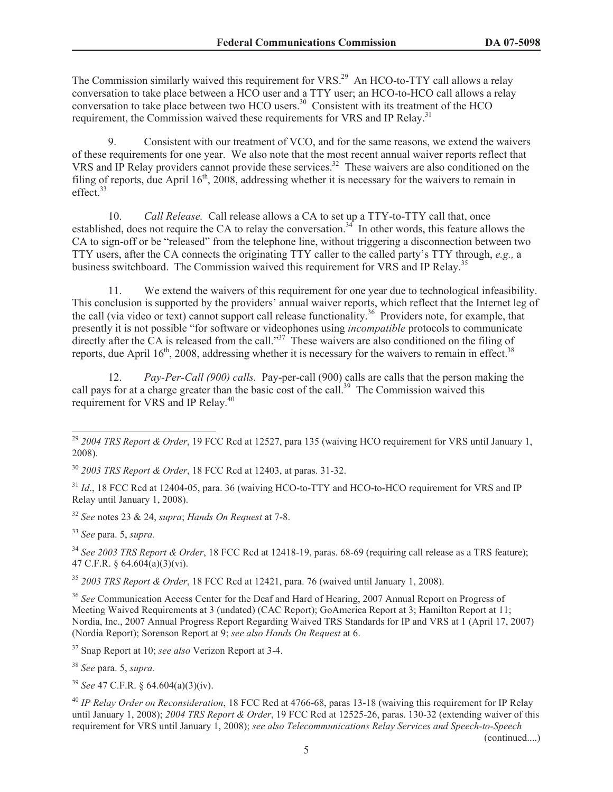The Commission similarly waived this requirement for VRS.<sup>29</sup> An HCO-to-TTY call allows a relay conversation to take place between a HCO user and a TTY user; an HCO-to-HCO call allows a relay conversation to take place between two HCO users.<sup>30</sup> Consistent with its treatment of the HCO requirement, the Commission waived these requirements for VRS and IP Relay.<sup>31</sup>

9. Consistent with our treatment of VCO, and for the same reasons, we extend the waivers of these requirements for one year. We also note that the most recent annual waiver reports reflect that VRS and IP Relay providers cannot provide these services.<sup>32</sup> These waivers are also conditioned on the filing of reports, due April  $16<sup>th</sup>$ , 2008, addressing whether it is necessary for the waivers to remain in effect.<sup>33</sup>

10. *Call Release.* Call release allows a CA to set up a TTY-to-TTY call that, once established, does not require the CA to relay the conversation.<sup>34</sup> In other words, this feature allows the CA to sign-off or be "released" from the telephone line, without triggering a disconnection between two TTY users, after the CA connects the originating TTY caller to the called party's TTY through, *e.g.,* a business switchboard. The Commission waived this requirement for VRS and IP Relay.<sup>35</sup>

11. We extend the waivers of this requirement for one year due to technological infeasibility. This conclusion is supported by the providers' annual waiver reports, which reflect that the Internet leg of the call (via video or text) cannot support call release functionality.<sup>36</sup> Providers note, for example, that presently it is not possible "for software or videophones using *incompatible* protocols to communicate directly after the CA is released from the call."<sup>37</sup> These waivers are also conditioned on the filing of reports, due April  $16<sup>th</sup>$ , 2008, addressing whether it is necessary for the waivers to remain in effect.<sup>38</sup>

12. *Pay-Per-Call (900) calls.* Pay-per-call (900) calls are calls that the person making the call pays for at a charge greater than the basic cost of the call.<sup>39</sup> The Commission waived this requirement for VRS and IP Relay.<sup>40</sup>

<sup>30</sup> *2003 TRS Report & Order*, 18 FCC Rcd at 12403, at paras. 31-32.

<sup>31</sup> *Id.*, 18 FCC Rcd at 12404-05, para. 36 (waiving HCO-to-TTY and HCO-to-HCO requirement for VRS and IP Relay until January 1, 2008).

<sup>32</sup> *See* notes 23 & 24, *supra*; *Hands On Request* at 7-8.

<sup>33</sup> *See* para. 5, *supra.*

<sup>34</sup> *See 2003 TRS Report & Order*, 18 FCC Rcd at 12418-19, paras. 68-69 (requiring call release as a TRS feature); 47 C.F.R. § 64.604(a)(3)(vi).

<sup>35</sup> *2003 TRS Report & Order*, 18 FCC Rcd at 12421, para. 76 (waived until January 1, 2008).

<sup>36</sup> See Communication Access Center for the Deaf and Hard of Hearing, 2007 Annual Report on Progress of Meeting Waived Requirements at 3 (undated) (CAC Report); GoAmerica Report at 3; Hamilton Report at 11; Nordia, Inc., 2007 Annual Progress Report Regarding Waived TRS Standards for IP and VRS at 1 (April 17, 2007) (Nordia Report); Sorenson Report at 9; *see also Hands On Request* at 6.

<sup>37</sup> Snap Report at 10; *see also* Verizon Report at 3-4.

<sup>38</sup> *See* para. 5, *supra.*

<sup>39</sup> *See* 47 C.F.R. § 64.604(a)(3)(iv).

<sup>40</sup> *IP Relay Order on Reconsideration*, 18 FCC Rcd at 4766-68, paras 13-18 (waiving this requirement for IP Relay until January 1, 2008); *2004 TRS Report & Order*, 19 FCC Rcd at 12525-26, paras. 130-32 (extending waiver of this requirement for VRS until January 1, 2008); *see also Telecommunications Relay Services and Speech-to-Speech* 

(continued....)

<sup>29</sup> *2004 TRS Report & Order*, 19 FCC Rcd at 12527, para 135 (waiving HCO requirement for VRS until January 1, 2008).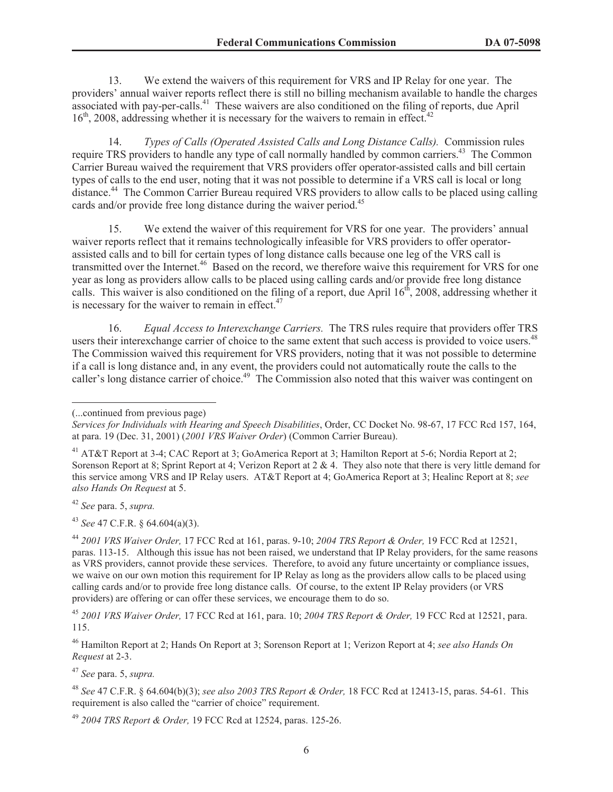13. We extend the waivers of this requirement for VRS and IP Relay for one year. The providers' annual waiver reports reflect there is still no billing mechanism available to handle the charges associated with pay-per-calls.<sup>41</sup> These waivers are also conditioned on the filing of reports, due April 16<sup>th</sup>, 2008, addressing whether it is necessary for the waivers to remain in effect.<sup>42</sup>

14. *Types of Calls (Operated Assisted Calls and Long Distance Calls).* Commission rules require TRS providers to handle any type of call normally handled by common carriers.<sup>43</sup> The Common Carrier Bureau waived the requirement that VRS providers offer operator-assisted calls and bill certain types of calls to the end user, noting that it was not possible to determine if a VRS call is local or long distance. <sup>44</sup> The Common Carrier Bureau required VRS providers to allow calls to be placed using calling cards and/or provide free long distance during the waiver period.<sup>45</sup>

15. We extend the waiver of this requirement for VRS for one year. The providers' annual waiver reports reflect that it remains technologically infeasible for VRS providers to offer operatorassisted calls and to bill for certain types of long distance calls because one leg of the VRS call is transmitted over the Internet.<sup>46</sup> Based on the record, we therefore waive this requirement for VRS for one year as long as providers allow calls to be placed using calling cards and/or provide free long distance calls. This waiver is also conditioned on the filing of a report, due April  $16<sup>th</sup>$ , 2008, addressing whether it is necessary for the waiver to remain in effect. $47$ 

16. *Equal Access to Interexchange Carriers.* The TRS rules require that providers offer TRS users their interexchange carrier of choice to the same extent that such access is provided to voice users.<sup>48</sup> The Commission waived this requirement for VRS providers, noting that it was not possible to determine if a call is long distance and, in any event, the providers could not automatically route the calls to the caller's long distance carrier of choice.<sup>49</sup> The Commission also noted that this waiver was contingent on

<sup>42</sup> *See* para. 5, *supra.*

<sup>43</sup> *See* 47 C.F.R. § 64.604(a)(3).

<sup>44</sup> *2001 VRS Waiver Order,* 17 FCC Rcd at 161, paras. 9-10; *2004 TRS Report & Order,* 19 FCC Rcd at 12521, paras. 113-15. Although this issue has not been raised, we understand that IP Relay providers, for the same reasons as VRS providers, cannot provide these services. Therefore, to avoid any future uncertainty or compliance issues, we waive on our own motion this requirement for IP Relay as long as the providers allow calls to be placed using calling cards and/or to provide free long distance calls. Of course, to the extent IP Relay providers (or VRS providers) are offering or can offer these services, we encourage them to do so.

<sup>45</sup> *2001 VRS Waiver Order,* 17 FCC Rcd at 161, para. 10; *2004 TRS Report & Order,* 19 FCC Rcd at 12521, para. 115.

<sup>46</sup> Hamilton Report at 2; Hands On Report at 3; Sorenson Report at 1; Verizon Report at 4; *see also Hands On Request* at 2-3.

<sup>47</sup> *See* para. 5, *supra.*

<sup>48</sup> *See* 47 C.F.R. § 64.604(b)(3); *see also 2003 TRS Report & Order,* 18 FCC Rcd at 12413-15, paras. 54-61. This requirement is also called the "carrier of choice" requirement.

<sup>49</sup> *2004 TRS Report & Order,* 19 FCC Rcd at 12524, paras. 125-26.

<sup>(...</sup>continued from previous page)

*Services for Individuals with Hearing and Speech Disabilities*, Order, CC Docket No. 98-67, 17 FCC Rcd 157, 164, at para. 19 (Dec. 31, 2001) (*2001 VRS Waiver Order*) (Common Carrier Bureau).

<sup>&</sup>lt;sup>41</sup> AT&T Report at 3-4; CAC Report at 3; GoAmerica Report at 3; Hamilton Report at 5-6; Nordia Report at 2; Sorenson Report at 8; Sprint Report at 4; Verizon Report at 2 & 4. They also note that there is very little demand for this service among VRS and IP Relay users. AT&T Report at 4; GoAmerica Report at 3; Healinc Report at 8; *see also Hands On Request* at 5.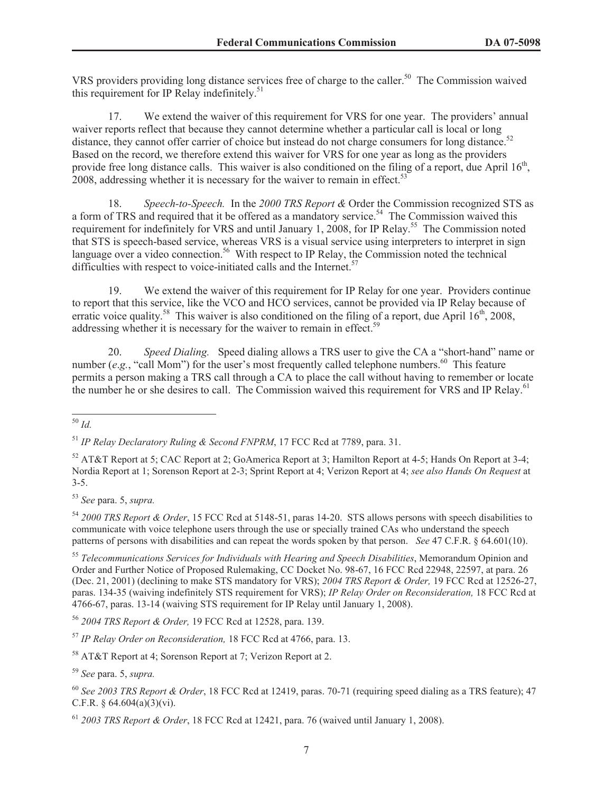VRS providers providing long distance services free of charge to the caller.<sup>50</sup> The Commission waived this requirement for IP Relay indefinitely. 51

17. We extend the waiver of this requirement for VRS for one year. The providers' annual waiver reports reflect that because they cannot determine whether a particular call is local or long distance, they cannot offer carrier of choice but instead do not charge consumers for long distance.<sup>52</sup> Based on the record, we therefore extend this waiver for VRS for one year as long as the providers provide free long distance calls. This waiver is also conditioned on the filing of a report, due April  $16<sup>th</sup>$ , 2008, addressing whether it is necessary for the waiver to remain in effect.<sup>53</sup>

18. *Speech-to-Speech.* In the *2000 TRS Report &* Order the Commission recognized STS as a form of TRS and required that it be offered as a mandatory service.<sup>54</sup> The Commission waived this requirement for indefinitely for VRS and until January 1, 2008, for IP Relay.<sup>55</sup> The Commission noted that STS is speech-based service, whereas VRS is a visual service using interpreters to interpret in sign language over a video connection.<sup>56</sup> With respect to IP Relay, the Commission noted the technical difficulties with respect to voice-initiated calls and the Internet. $57$ 

19. We extend the waiver of this requirement for IP Relay for one year. Providers continue to report that this service, like the VCO and HCO services, cannot be provided via IP Relay because of erratic voice quality.<sup>58</sup> This waiver is also conditioned on the filing of a report, due April  $16<sup>th</sup>$ , 2008, addressing whether it is necessary for the waiver to remain in effect.<sup>5</sup>

20. *Speed Dialing.* Speed dialing allows a TRS user to give the CA a "short-hand" name or number (*e.g.*, "call Mom") for the user's most frequently called telephone numbers.<sup>60</sup> This feature permits a person making a TRS call through a CA to place the call without having to remember or locate the number he or she desires to call. The Commission waived this requirement for VRS and IP Relay.<sup>61</sup>

<sup>53</sup> *See* para. 5, *supra.*

<sup>54</sup> *2000 TRS Report & Order*, 15 FCC Rcd at 5148-51, paras 14-20. STS allows persons with speech disabilities to communicate with voice telephone users through the use or specially trained CAs who understand the speech patterns of persons with disabilities and can repeat the words spoken by that person. *See* 47 C.F.R. § 64.601(10).

<sup>55</sup> *Telecommunications Services for Individuals with Hearing and Speech Disabilities*, Memorandum Opinion and Order and Further Notice of Proposed Rulemaking, CC Docket No. 98-67, 16 FCC Rcd 22948, 22597, at para. 26 (Dec. 21, 2001) (declining to make STS mandatory for VRS); *2004 TRS Report & Order,* 19 FCC Rcd at 12526-27, paras. 134-35 (waiving indefinitely STS requirement for VRS); *IP Relay Order on Reconsideration,* 18 FCC Rcd at 4766-67, paras. 13-14 (waiving STS requirement for IP Relay until January 1, 2008).

<sup>56</sup> *2004 TRS Report & Order,* 19 FCC Rcd at 12528, para. 139.

<sup>57</sup> *IP Relay Order on Reconsideration,* 18 FCC Rcd at 4766, para. 13.

<sup>58</sup> AT&T Report at 4; Sorenson Report at 7; Verizon Report at 2.

<sup>59</sup> *See* para. 5, *supra.*

<sup>60</sup> *See 2003 TRS Report & Order*, 18 FCC Rcd at 12419, paras. 70-71 (requiring speed dialing as a TRS feature); 47 C.F.R. § 64.604(a)(3)(vi).

<sup>61</sup> *2003 TRS Report & Order*, 18 FCC Rcd at 12421, para. 76 (waived until January 1, 2008).

<sup>50</sup> *Id.*

<sup>51</sup> *IP Relay Declaratory Ruling & Second FNPRM*, 17 FCC Rcd at 7789, para. 31.

<sup>52</sup> AT&T Report at 5; CAC Report at 2; GoAmerica Report at 3; Hamilton Report at 4-5; Hands On Report at 3-4; Nordia Report at 1; Sorenson Report at 2-3; Sprint Report at 4; Verizon Report at 4; *see also Hands On Request* at 3-5.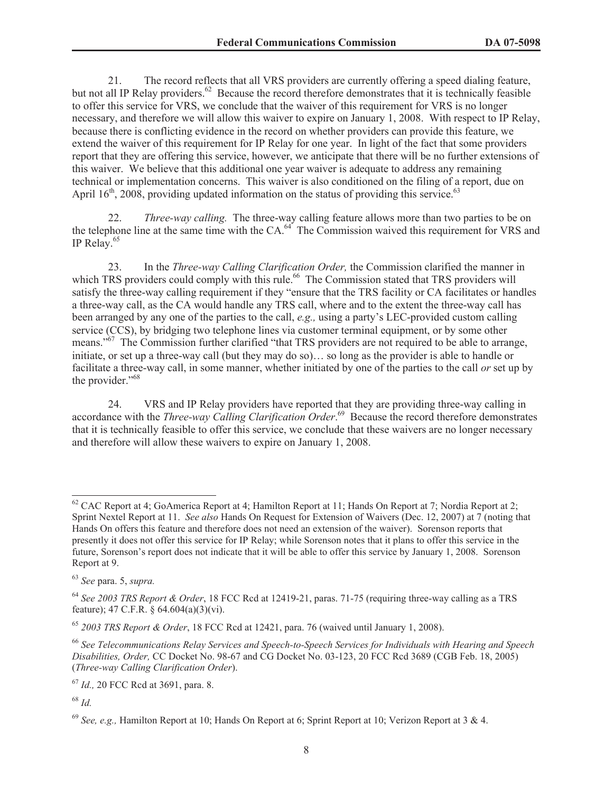21. The record reflects that all VRS providers are currently offering a speed dialing feature, but not all IP Relay providers.<sup>62</sup> Because the record therefore demonstrates that it is technically feasible to offer this service for VRS, we conclude that the waiver of this requirement for VRS is no longer necessary, and therefore we will allow this waiver to expire on January 1, 2008. With respect to IP Relay, because there is conflicting evidence in the record on whether providers can provide this feature, we extend the waiver of this requirement for IP Relay for one year. In light of the fact that some providers report that they are offering this service, however, we anticipate that there will be no further extensions of this waiver. We believe that this additional one year waiver is adequate to address any remaining technical or implementation concerns. This waiver is also conditioned on the filing of a report, due on April  $16<sup>th</sup>$ , 2008, providing updated information on the status of providing this service.<sup>63</sup>

22. *Three-way calling.* The three-way calling feature allows more than two parties to be on the telephone line at the same time with the CA.<sup>64</sup> The Commission waived this requirement for VRS and IP Relay.<sup>65</sup>

23. In the *Three-way Calling Clarification Order,* the Commission clarified the manner in which TRS providers could comply with this rule.<sup>66</sup> The Commission stated that TRS providers will satisfy the three-way calling requirement if they "ensure that the TRS facility or CA facilitates or handles a three-way call, as the CA would handle any TRS call, where and to the extent the three-way call has been arranged by any one of the parties to the call, *e.g.,* using a party's LEC-provided custom calling service (CCS), by bridging two telephone lines via customer terminal equipment, or by some other means."<sup>67</sup> The Commission further clarified "that TRS providers are not required to be able to arrange, initiate, or set up a three-way call (but they may do so)… so long as the provider is able to handle or facilitate a three-way call, in some manner, whether initiated by one of the parties to the call *or* set up by the provider."<sup>68</sup>

24. VRS and IP Relay providers have reported that they are providing three-way calling in accordance with the *Three-way Calling Clarification Order*. <sup>69</sup> Because the record therefore demonstrates that it is technically feasible to offer this service, we conclude that these waivers are no longer necessary and therefore will allow these waivers to expire on January 1, 2008.

 $62$  CAC Report at 4; GoAmerica Report at 4; Hamilton Report at 11; Hands On Report at 7; Nordia Report at 2; Sprint Nextel Report at 11. *See also* Hands On Request for Extension of Waivers (Dec. 12, 2007) at 7 (noting that Hands On offers this feature and therefore does not need an extension of the waiver). Sorenson reports that presently it does not offer this service for IP Relay; while Sorenson notes that it plans to offer this service in the future, Sorenson's report does not indicate that it will be able to offer this service by January 1, 2008. Sorenson Report at 9.

<sup>63</sup> *See* para. 5, *supra.*

<sup>64</sup> *See 2003 TRS Report & Order*, 18 FCC Rcd at 12419-21, paras. 71-75 (requiring three-way calling as a TRS feature); 47 C.F.R. § 64.604(a)(3)(vi).

<sup>65</sup> *2003 TRS Report & Order*, 18 FCC Rcd at 12421, para. 76 (waived until January 1, 2008).

<sup>66</sup> *See Telecommunications Relay Services and Speech-to-Speech Services for Individuals with Hearing and Speech Disabilities, Order,* CC Docket No. 98-67 and CG Docket No. 03-123, 20 FCC Rcd 3689 (CGB Feb. 18, 2005) (*Three-way Calling Clarification Order*).

<sup>67</sup> *Id.,* 20 FCC Rcd at 3691, para. 8.

<sup>68</sup> *Id.*

<sup>69</sup> *See, e.g.,* Hamilton Report at 10; Hands On Report at 6; Sprint Report at 10; Verizon Report at 3 & 4.